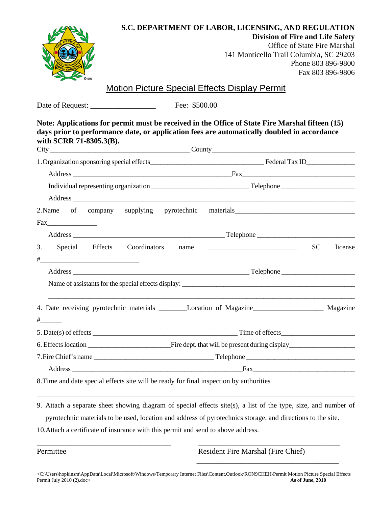|                         | S.C. DEPARTMENT OF LABOR, LICENSING, AND REGULATION<br><b>Division of Fire and Life Safety</b><br><b>Office of State Fire Marshal</b><br>141 Monticello Trail Columbia, SC 29203<br>Phone 803 896-9800<br>Fax 803 896-9806                                                                                         |         |
|-------------------------|--------------------------------------------------------------------------------------------------------------------------------------------------------------------------------------------------------------------------------------------------------------------------------------------------------------------|---------|
|                         | <u>Motion Picture Special Effects Display Permit</u>                                                                                                                                                                                                                                                               |         |
|                         | Fee: \$500.00                                                                                                                                                                                                                                                                                                      |         |
| with SCRR 71-8305.3(B). | Note: Applications for permit must be received in the Office of State Fire Marshal fifteen (15)<br>days prior to performance date, or application fees are automatically doubled in accordance                                                                                                                     |         |
|                         |                                                                                                                                                                                                                                                                                                                    |         |
|                         |                                                                                                                                                                                                                                                                                                                    |         |
|                         |                                                                                                                                                                                                                                                                                                                    |         |
|                         |                                                                                                                                                                                                                                                                                                                    |         |
|                         | 2. Name of company supplying pyrotechnic materials_______________________________                                                                                                                                                                                                                                  |         |
|                         |                                                                                                                                                                                                                                                                                                                    |         |
|                         |                                                                                                                                                                                                                                                                                                                    |         |
|                         |                                                                                                                                                                                                                                                                                                                    | license |
|                         |                                                                                                                                                                                                                                                                                                                    |         |
|                         |                                                                                                                                                                                                                                                                                                                    |         |
|                         |                                                                                                                                                                                                                                                                                                                    |         |
|                         | 4. Date receiving pyrotechnic materials _______Location of Magazine_________________ Magazine                                                                                                                                                                                                                      |         |
| $\frac{+}{+}$           |                                                                                                                                                                                                                                                                                                                    |         |
|                         |                                                                                                                                                                                                                                                                                                                    |         |
|                         |                                                                                                                                                                                                                                                                                                                    |         |
|                         |                                                                                                                                                                                                                                                                                                                    |         |
|                         |                                                                                                                                                                                                                                                                                                                    |         |
|                         |                                                                                                                                                                                                                                                                                                                    |         |
|                         | 8. Time and date special effects site will be ready for final inspection by authorities                                                                                                                                                                                                                            |         |
|                         | 9. Attach a separate sheet showing diagram of special effects site(s), a list of the type, size, and number of<br>pyrotechnic materials to be used, location and address of pyrotechnics storage, and directions to the site.<br>10. Attach a certificate of insurance with this permit and send to above address. |         |
|                         |                                                                                                                                                                                                                                                                                                                    |         |
| Permittee               | Resident Fire Marshal (Fire Chief)                                                                                                                                                                                                                                                                                 |         |

\_\_\_\_\_\_\_\_\_\_\_\_\_\_\_\_\_\_\_\_\_\_\_\_\_\_\_\_\_\_\_\_\_\_\_\_\_